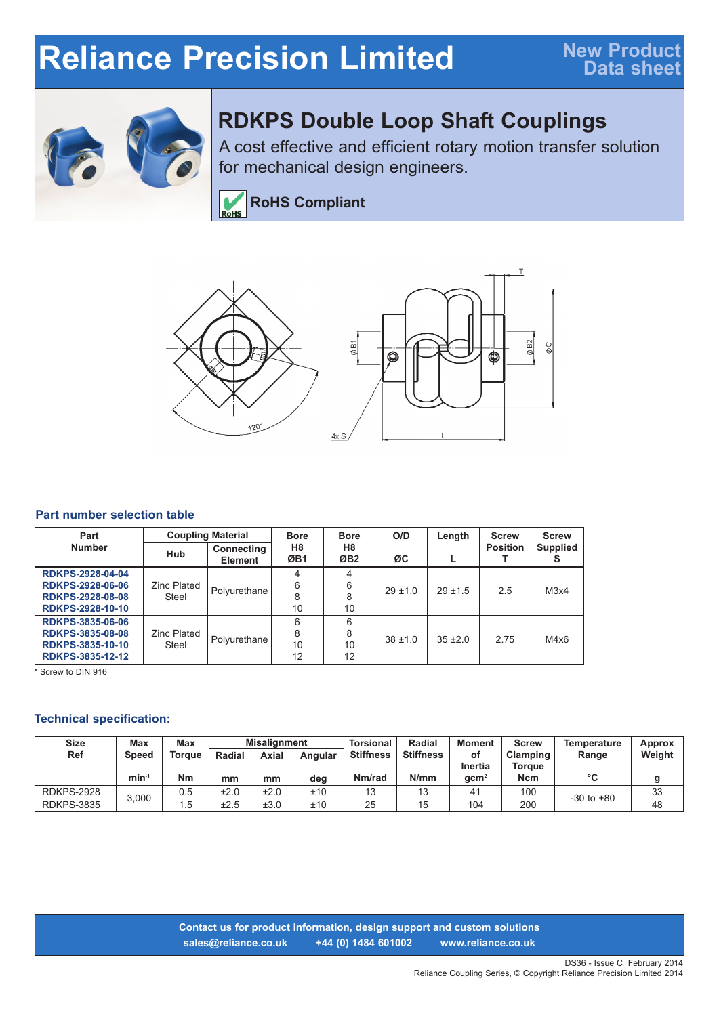# **Reliance Precision Limited**



## **RDKPS Double Loop Shaft Couplings**

A cost effective and efficient rotary motion transfer solution for mechanical design engineers.

**RoHS Compliant** RoHS



#### **Part number selection table**

| Part                    | <b>Coupling Material</b> |                              | <b>Bore</b> | <b>Bore</b>                       | O/D        | Length       | <b>Screw</b>    | <b>Screw</b>    |
|-------------------------|--------------------------|------------------------------|-------------|-----------------------------------|------------|--------------|-----------------|-----------------|
| <b>Number</b>           | <b>Hub</b>               | Connecting<br><b>Element</b> | H8<br>ØB1   | H <sub>8</sub><br>ØB <sub>2</sub> | ØC         |              | <b>Position</b> | <b>Supplied</b> |
| <b>RDKPS-2928-04-04</b> |                          |                              |             |                                   | $29 + 1.0$ | $29 + 1.5$   | 2.5             | M3x4            |
| <b>RDKPS-2928-06-06</b> | <b>Zinc Plated</b>       | Polyurethane                 | 6           | 6                                 |            |              |                 |                 |
| <b>RDKPS-2928-08-08</b> | Steel                    |                              |             |                                   |            |              |                 |                 |
| <b>RDKPS-2928-10-10</b> |                          |                              | 10          | 10                                |            |              |                 |                 |
| <b>RDKPS-3835-06-06</b> |                          |                              | 6           | 6                                 | $38 + 1.0$ | $35 \pm 2.0$ | 2.75            | M4x6            |
| <b>RDKPS-3835-08-08</b> | <b>Zinc Plated</b>       |                              | 8           | 8                                 |            |              |                 |                 |
| <b>RDKPS-3835-10-10</b> | Steel                    | Polyurethane                 | 10          | 10                                |            |              |                 |                 |
| RDKPS-3835-12-12        |                          |                              | 12          | 12                                |            |              |                 |                 |

\* Screw to DIN 916

#### **Technical specification:**

| Size<br>Max<br>Max |         |               | <b>Misalignment</b> |              |         | <b>Torsional</b> | <b>Radial</b>    | <b>Moment</b>    | Screw         | Temperature    | <b>Approx</b> |
|--------------------|---------|---------------|---------------------|--------------|---------|------------------|------------------|------------------|---------------|----------------|---------------|
| <b>Ref</b>         | Speed   | <b>Torque</b> | <b>Radial</b>       | <b>Axial</b> | Angular | <b>Stiffness</b> | <b>Stiffness</b> | οf               | Clamping      | Range          | Weight        |
|                    |         |               |                     |              |         |                  |                  | Inertia          | <b>Torque</b> |                |               |
|                    | $min-1$ | Nm            | mm                  | mm           | deg     | Nm/rad           | N/mm             | qcm <sup>2</sup> | Ncm           | °C             |               |
| <b>RDKPS-2928</b>  | 3,000   | 0.5           | ±2.0                | ±2.0         | ±10     |                  | ں ا              | 41               | 100           | $-30$ to $+80$ | 33            |
| <b>RDKPS-3835</b>  |         | ۱.5           | ±2.5                | ±3.0         | ±10     | 25               |                  | 104              | 200           |                | 48            |

**Contact us for product information, design support and custom solutions sales@reliance.co.uk +44 (0) 1484 601002 www.reliance.co.uk**